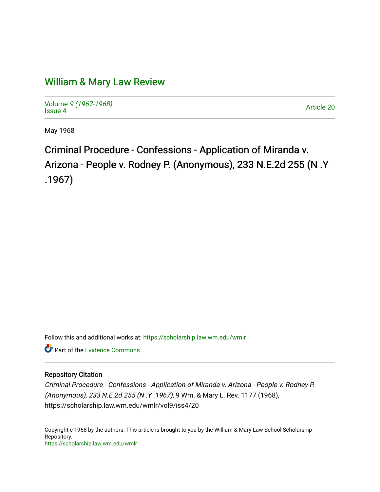## [William & Mary Law Review](https://scholarship.law.wm.edu/wmlr)

Volume [9 \(1967-1968\)](https://scholarship.law.wm.edu/wmlr/vol9)  Volume 9 (1907-1906)<br>[Issue 4](https://scholarship.law.wm.edu/wmlr/vol9/iss4) Article 20

May 1968

Criminal Procedure - Confessions - Application of Miranda v. Arizona - People v. Rodney P. (Anonymous), 233 N.E.2d 255 (N .Y .1967)

Follow this and additional works at: [https://scholarship.law.wm.edu/wmlr](https://scholarship.law.wm.edu/wmlr?utm_source=scholarship.law.wm.edu%2Fwmlr%2Fvol9%2Fiss4%2F20&utm_medium=PDF&utm_campaign=PDFCoverPages)

Part of the [Evidence Commons](http://network.bepress.com/hgg/discipline/601?utm_source=scholarship.law.wm.edu%2Fwmlr%2Fvol9%2Fiss4%2F20&utm_medium=PDF&utm_campaign=PDFCoverPages) 

## Repository Citation

Criminal Procedure - Confessions - Application of Miranda v. Arizona - People v. Rodney P. (Anonymous), 233 N.E.2d 255 (N .Y .1967), 9 Wm. & Mary L. Rev. 1177 (1968), https://scholarship.law.wm.edu/wmlr/vol9/iss4/20

Copyright c 1968 by the authors. This article is brought to you by the William & Mary Law School Scholarship Repository. <https://scholarship.law.wm.edu/wmlr>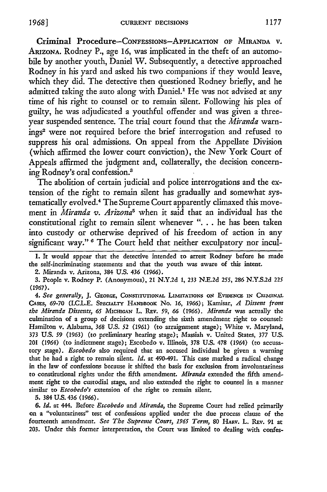Criminal Procedure-Confessions-Application of MIRANDA v. ARIzoNA. Rodney P., age 16, was implicated in the theft of an automobile by another youth, Daniel W. Subsequently, a detective approached Rodney in his yard and asked his two companions if they would leave, which they did. The detective then questioned Rodney briefly, and he admitted taking the auto along with Daniel.' He was not advised at any time of his right to counsel or to remain silent. Following his plea of guilty, he was adjudicated a youthful offender and was given a threeyear suspended sentence. The trial court found that the *Miranda* warnings2 were not required before the brief interrogation and refused to suppress his oral admissions. On appeal from the Appellate Division (which affirmed the lower court conviction), the New York Court of Appeals affirmed the judgment and, collaterally, the decision concerning Rodney's oral confession.<sup>3</sup>

The abolition of certain judicial and police interrogations and the extension of the right to remain silent has gradually and somewhat systematically evolved.4 The Supreme Court apparently climaxed this movement in *Miranda v. Arizona5* when it said that an individual has the constitutional right to remain silent whenever **"....** he has been taken into custody or otherwise deprived of his freedom of action in any significant way." **6** The Court held that neither exculpatory nor incul-

**I.** It would appear that the detective intended to arrest Rodney before he made the self-incriminating statements and that the youth was aware of this intent.

2. Miranda v. Arizona, 384 U.S. 436 *(1966).*

3. People v. Rodney P. (Anonymous), 21 N.Y.2d 1, 233 N.E.2d *255,* 286 N.Y.S.2d 225 **(1967).**

*4. See generally,* **J. GEORGE, CONSTITUI1ONAL** LIMITATIONS ON **EVIDENCE IN CRIMINAL** CAsEsq, 69-70 (I.C.L.E. SPECIALTY HANDBOOK No. *16,* 1966); Kamisar, *A Dissent from the Miranda Dissents, 65* **MIcmGAN** L. REv. *59, 66* (1966). *Miranda* was actually the culmination of a group of decisions extending the sixth amendment right to counsel: Hamilton v. Alabama, 368 U.S. *52* (1961) (to arraignment stage); White v. Maryland, 373 U.S. *59* (1963) (to preliminary hearing stage); Massiah v. United States, 377 U.S. 201 (1964) (to indictment stage); Escobedo v. Illinois, 378 U.S. 478 (1964) (to accusatory stage). *Escobedo* also required that an accused individual be given a warning that he had a right to remain silent. *Id.* at 490-491. This case marked a radical change in the law of confessions because it shifted the basis for exclusion from involuntariness to constitutional rights under the fifth amendment. *Miranda* extended the fifth amendment right to the custodial stage, and also extended the right to counsel in a manner similar to *Escobedo's* extension of the right to remain silent.

5. 384 U.S. 436 (1966).

6. *Id.* at 444. Before *Escobedo* and *Miranda,* the Supreme Court had relied primarily on a "voluntariness" test of confessions applied under the due process clause of the fourteenth amendment. *See The Supreme Court, 196Y Term,* 80 *HARv.* L. REv. 91 at 203. Under this former interpretation, the Court was limited to dealing with confes-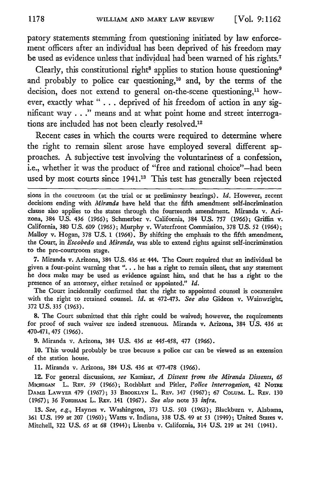patory statements stemming from questioning initiated by law enforcement officers after an individual has been deprived of his freedom may be used as evidence unless that individual had been warned of his rights."

Clearly, this constitutional right<sup>8</sup> applies to station house questioning<sup>9</sup> and probably to police car questioning,<sup>10</sup> and, by the terms of the decision, does not extend to general on-the-scene questioning,<sup>11</sup> however, exactly what " . . . deprived of his freedom of action in any significant way **. .. "** means and at what point home and street interrogations are included has not been clearly resolved.<sup>12</sup>

Recent cases in which the courts were required to determine where the right to remain silent arose have employed several different approaches. A subjective test involving the voluntariness of a confession, i.e., whether it was the product of "free and rational choice"-had been used by most courts since 1941.<sup>13</sup> This test has generally been rejected

sions in the courtroom (at the trial or at preliminary hearings). *Id.* However, recent decisions ending with *Miranda* have held that the fifth amendment self-incrimination clause also applies to the states through the fourteenth amendment. Miranda v. Arizona, 384 U.S. 436 (1966); Schmerber v. California, 384 U.S. 757 (1966); Griffin v. California, 380 U.S. 609 (1965); Murphy v. Waterfront Commission, 378 U.S. 52 (1964); Malloy v. Hogan, 378 U.S. 1 (1964). By shifting the emphasis to the fifth amendment, the Court, in *Escobedo* and *Miranda,* was able to extend rights against self-incrimination to the pre-courtroom stage.

7. Miranda v. Arizona, 384 U.S. 436 at 444. The Court required that an individual be given a four-point warning that ". **.** . he has a right to remain silent, that any statement he does make may be used as evidence against him, and that he has a right to the presence of an attorney, either retained or appointed." *Id.*

The Court incidentally confirmed that the right to appointed counsel is coextensive with the right to retained counsel. *Id.* at 472-473. *See also* Gideon v. Wainwright, 372 U.S. **335** (1963).

8. The Court submitted that this right could be waived; however, the requirements for proof of such waiver are indeed strenuous. Miranda v. Arizona, 384 U.S. 436 at 470-471, 475 (1966).

**9.** Miranda v. Arizona, 384 U.S. 436 at 445-458, 477 (1966).

10. This would probably be true because a police car can be viewed as an extension of the station house.

11. Miranda v. Arizona, 384 U.S. 436 at 477-478 (1966).

12. For general discussions, *see* Kamisar, *A Dissent from the Miranda Dissents, 65* MicHIGAN L. REv. 59 (1966); Rothblatt and Pitler, *Police Interrogation,* 42 NoRE DAME LAwYER 479 (1967); 33 BROOKLYN L. REv. 347 (1967); 67 CoLum. L. REv. 130 (1967); 36 FoRDHAm L. Rav. 141 (1967). *See also* note 33 *infra.*

*13. See, e.g.,* Haynes v. Washington, 373 U.S. 503 (1963); Blackburn v. Alabama, 361 U.S. 199 at 207 (1960); Watts v. Indiana, 338 U.S. 49 at 53 (1949); United States v. Mitchell, 322 U.S. *65* at 68 (1944); Lisenba v. California, 314 **U.S.** 219 at 241 (1941).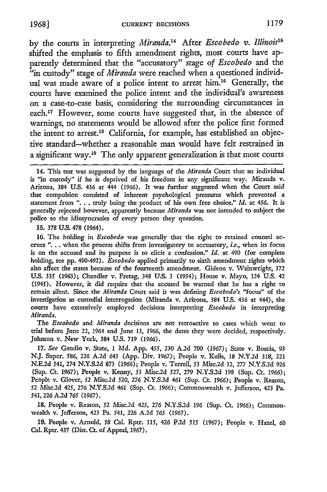by the courts in interpreting *Miranda.14* After *Escobedo v. Illinois'5* shifted the emphasis to fifth amendment rights, most courts have apparently determined that the "accusatory" stage of *Escobedo* and the "in custody" stage of *Miranda* were reached when a questioned individual was made aware of a police intent to arrest him.<sup>16</sup> Generally, the courts have examined the police intent and the individual's awareness on a case-to-case basis, considering the surrounding circumstances in each.<sup>17</sup> However, some courts have suggested that, in the absence of warnings, no statements would be allowed after the police first formed the intent to arrest.'8 California, for example, has established an objective standard-whether a reasonable man would have felt restrained in a significant way.<sup>19</sup> The only apparent generalization is that most courts

15. 378 U.S. 478 (1964).

16. The holding in *Escobedo* was generally that the right to retained counsel accrues **"....** when the process shifts from investigatory to accusatory, *i.e.,* when its focus is on the accused and its purpose is to elicit a confession." *Id.* at 490 (for complete holding, see **pp.** 490-492). *Escobedo* applied primarily to sixth amendment rights which also affect the states because of the fourteenth amendment. Gideon v. Wainwright, 372 U.S. 335 (1963); Chandler v. Fretag, 348 U.S. 3 (1954); House v. Mayo, 324 U.S. 42 (1945). However, it did require that the accused be warned that he has a right to remain silent. Since the *Miranda* Court said it was defining *Escobedo's* "focus" of the investigation as custodial interrogation (Miranda v. Arizona, 384 U.S. 436 at 444), the courts have extensively employed decisions interpreting *Escobedo* in interpreting *Miranda.*

The *Escobedo* and *Miranda* decisions are not retroactive to cases which went to trial before June 22, 1964 and June 13, *1966,* the dates they were decided, respectively. Johnson v. New York, 384 U.S. 719 (1966).

**17.** *See* Gaudio v. State, 1 Md. App. *455,* 230 A.2d 700 (1967); State v. Boscia, **93 N.J.** Super. *586,* 226 A.2d 643 (App. Div. 1967); People v. Kulis, 18 N.Y.2d 318, 221 N.E.2d 541, 274 N.Y.S.2d 873 (1966); People v. Terrell, 53 Misc.2d 32, 277 N.Y.S.2d 926 (Sup. Ct. 1967); People v. Kenny, 53 Misc.2d 527, 279 N.Y.S.2d 198 (Sup. Ct. 1966); People v. Glover, 52 Misc.2d 520, 276 N.Y.S.2d *461* (Sup. Ct. 1966); People v. Reason, 52 Misc.2d 425, 276 N.Y.S.2d 461 (Sup. Ct. 1966); Commonwealth v. Jefferson, 423 Pa. 541, *226* A.2d *765* (1967).

18. People v. Reason, 52 Misc.2d 425, 276 N.Y.S.2d *196* (Sup. Ct. 1966); Commonwealth v. Jefferson, 423 Pa. 541, 226 A.2d *765* (1967).

**19.** People v. Arnold, 58 Cal. Rptr. 115, *426* P.2d *515* (1967); People v. Hazel, 60 Cal. Rptr. 437 (Dist. Ct. of Appeal, 1967).

<sup>14.</sup> This test was suggested by the language of the *Miranda* Court that an individual is "in custody" if he is deprived of his freedom in any significant way. Miranda v. Arizona, 384 U.S. 436 at 444 (1966). It was further suggested when the Court said that compulsion consisted of inherent psychological pressures which prevented a statement from ". **..** truly being the product of his own free choice." *Id.* at *456.* It is generally rejected however, apparently because *Miranda* was not intended to subject the police to the idiosyncrasies of every person they question.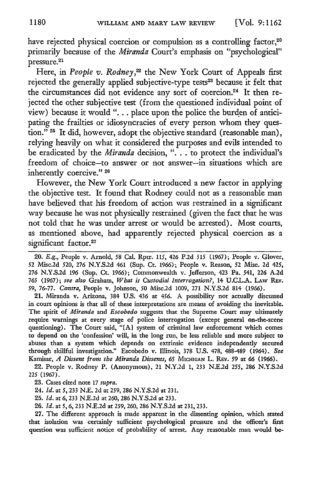have rejected physical coercion or compulsion as a controlling factor,<sup>20</sup> primarily because of the *Miranda* Court's emphasis on "psychological" pressure. 21

Here, in *People v. Rodney*,<sup>22</sup> the New York Court of Appeals first rejected the generally applied subjective-type tests<sup>23</sup> because it felt that the circumstances did not evidence any sort of coercion.<sup>24</sup> It then rejected the other subjective test (from the questioned individual point of view) because it would **"....** place upon the police the burden of anticipating the frailties or idiosyncracies of every person whom they question." **25** It did, however, adopt the objective standard (reasonable man), relying heavily on what it considered the purposes and evils intended to be eradicated by the *Miranda* decision, ".. . to protect the individual's freedom of choice-to answer or not answer-in situations which are inherently coercive." 26

However, the New York Court introduced a new factor in applying the objective test. It found that Rodney could not as a reasonable man have believed that his freedom of action was restrained in a significant way because he was not physically restrained (given the fact that he was not told that he was under arrest or would be arrested). Most courts, as mentioned above, had apparently rejected physical coercion as a significant factor.<sup>27</sup>

20. *E.g.,* People v. Arnold, 58 Cal. Rptr. 115, 426 P.2d *515* (1967); People v. Glover, 52 Misc.2d 520, 276 N.Y.S.2d 461 (Sup. Ct. 1966); People v. Reason, *52* Misc. 2d 425, 276 N.Y.S.2d 196 (Sup. Ct. 1966); Commonwealth v. Jefferson, 423 Pa. 541, 226 A.2d 765 (1967); see *also* Graham, *What is Custodial Interrogation?,* 14 U.CJL.A. **LAw** REv. 59, 76-77. *Contra,* People v. Johnson, 50 Misc.2d 1009, 271 N.Y.S.2d 814 (1966).

21. Miranda v. Arizona, 384 U.S. 436 at 456. A possibility not actually discussed in court opinions is that all of these interpretations are means of avoiding the inevitable. The spirit of *Miranda* and *Escobedo* suggests that the Supreme Court may ultimately require warnings at every stage of police interrogation (except general on-the-scene questioning). The Court said, "[A] system of criminal law enforcement which comes to depend on the 'confession' will, in the long run, be less reliable and more subject to abuses than a system which depends on extrinsic evidence independently secured through skillful investigation." Escobedo v. Illinois, **378** U.S. 478, 488-489 (1964). *See* Kamisar, *A Dissent fronz the Miranda Dissents, 65* **MICHIGAN** L. Rzv. **59** at **66** (1966).

22. People v. Rodney P. (Anonymous), 21 N.Y.2d 1, 233 N.E.2d *255,* 286 N.Y.S.2d **225** (1967).

**23.** Cases cited note 17 *supra.*

24. *Id.* at 5, 233 N.E. 2d at 259, 286 N.Y.S.2d at 231.

25. *Id.* at 6, 233 NZE.2d at 260, 286 N.Y.S.2d at 233.

26. *Id.* at *5, 6,* 233 NE.2d at 259, 260, 286 N.Y.S.2d at 231, 233.

**27.** The different approach is made apparent in the dissenting opinion, which stated that isolation was certainly sufficient psychological pressure and the officer's first question was sufficient notice of probability of arrest. Any reasonable man would be-